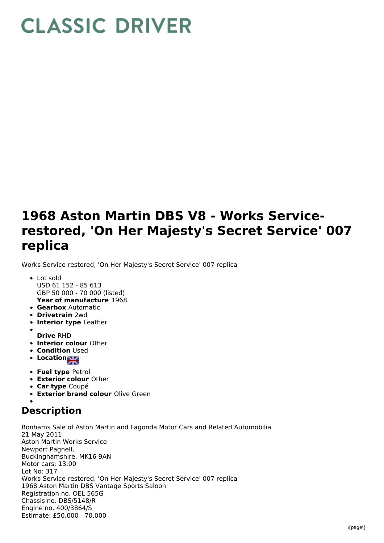## **CLASSIC DRIVER**

## **1968 Aston Martin DBS V8 - Works Servicerestored, 'On Her Majesty's Secret Service' 007 replica**

Works Service-restored, 'On Her Majesty's Secret Service' 007 replica

- **Year of manufacture** 1968 Lot sold USD 61 152 - 85 613 GBP 50 000 - 70 000 (listed)
- **Gearbox** Automatic
- **Drivetrain** 2wd
- **Interior type** Leather
- **Drive** RHD
- **Interior colour** Other
- **Condition Used**
- **Location**
- 
- **Fuel type** Petrol **Exterior colour** Other
- **Car type** Coupé
- **Exterior brand colour** Olive Green
- **Description**

Bonhams Sale of Aston Martin and Lagonda Motor Cars and Related Automobilia 21 May 2011 Aston Martin Works Service Newport Pagnell, Buckinghamshire, MK16 9AN Motor cars: 13:00 Lot No: 317 Works Service-restored, 'On Her Majesty's Secret Service' 007 replica 1968 Aston Martin DBS Vantage Sports Saloon Registration no. OEL 565G Chassis no. DBS/5148/R Engine no. 400/3864/S Estimate: £50,000 - 70,000